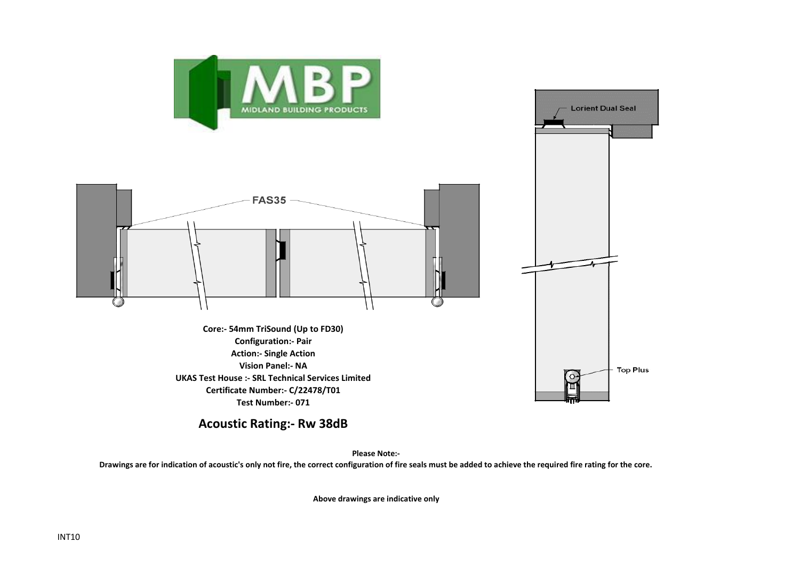



**Lorient Dual Seal** 

**Top Plus** 

**Core:- 54mm TriSound (Up to FD30) Configuration:- Pair Action:- Single Action Vision Panel:- NA UKAS Test House :- SRL Technical Services Limited Certificate Number:- C/22478/T01 Test Number:- 071**

**Acoustic Rating:- Rw 38dB**

**Please Note:-** 

**Drawings are for indication of acoustic's only not fire, the correct configuration of fire seals must be added to achieve the required fire rating for the core.**

**Above drawings are indicative only**